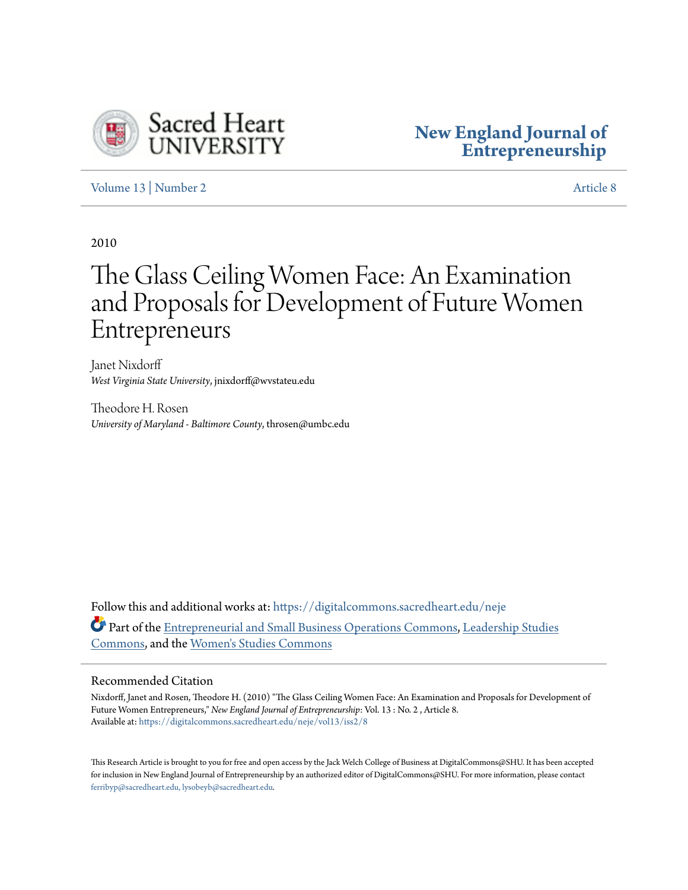

### **[New England Journal of](https://digitalcommons.sacredheart.edu/neje?utm_source=digitalcommons.sacredheart.edu%2Fneje%2Fvol13%2Fiss2%2F8&utm_medium=PDF&utm_campaign=PDFCoverPages) [Entrepreneurship](https://digitalcommons.sacredheart.edu/neje?utm_source=digitalcommons.sacredheart.edu%2Fneje%2Fvol13%2Fiss2%2F8&utm_medium=PDF&utm_campaign=PDFCoverPages)**

[Volume 13](https://digitalcommons.sacredheart.edu/neje/vol13?utm_source=digitalcommons.sacredheart.edu%2Fneje%2Fvol13%2Fiss2%2F8&utm_medium=PDF&utm_campaign=PDFCoverPages) | [Number 2](https://digitalcommons.sacredheart.edu/neje/vol13/iss2?utm_source=digitalcommons.sacredheart.edu%2Fneje%2Fvol13%2Fiss2%2F8&utm_medium=PDF&utm_campaign=PDFCoverPages) [Article 8](https://digitalcommons.sacredheart.edu/neje/vol13/iss2/8?utm_source=digitalcommons.sacredheart.edu%2Fneje%2Fvol13%2Fiss2%2F8&utm_medium=PDF&utm_campaign=PDFCoverPages)

2010

## The Glass Ceiling Women Face: An Examination and Proposals for Development of Future Women Entrepreneurs

Janet Nixdorff *West Virginia State University*, jnixdorff@wvstateu.edu

Theodore H. Rosen *University of Maryland - Baltimore County*, throsen@umbc.edu

Follow this and additional works at: [https://digitalcommons.sacredheart.edu/neje](https://digitalcommons.sacredheart.edu/neje?utm_source=digitalcommons.sacredheart.edu%2Fneje%2Fvol13%2Fiss2%2F8&utm_medium=PDF&utm_campaign=PDFCoverPages) Part of the [Entrepreneurial and Small Business Operations Commons](http://network.bepress.com/hgg/discipline/630?utm_source=digitalcommons.sacredheart.edu%2Fneje%2Fvol13%2Fiss2%2F8&utm_medium=PDF&utm_campaign=PDFCoverPages), [Leadership Studies](http://network.bepress.com/hgg/discipline/1250?utm_source=digitalcommons.sacredheart.edu%2Fneje%2Fvol13%2Fiss2%2F8&utm_medium=PDF&utm_campaign=PDFCoverPages) [Commons,](http://network.bepress.com/hgg/discipline/1250?utm_source=digitalcommons.sacredheart.edu%2Fneje%2Fvol13%2Fiss2%2F8&utm_medium=PDF&utm_campaign=PDFCoverPages) and the [Women's Studies Commons](http://network.bepress.com/hgg/discipline/561?utm_source=digitalcommons.sacredheart.edu%2Fneje%2Fvol13%2Fiss2%2F8&utm_medium=PDF&utm_campaign=PDFCoverPages)

#### Recommended Citation

Nixdorff, Janet and Rosen, Theodore H. (2010) "The Glass Ceiling Women Face: An Examination and Proposals for Development of Future Women Entrepreneurs," *New England Journal of Entrepreneurship*: Vol. 13 : No. 2 , Article 8. Available at: [https://digitalcommons.sacredheart.edu/neje/vol13/iss2/8](https://digitalcommons.sacredheart.edu/neje/vol13/iss2/8?utm_source=digitalcommons.sacredheart.edu%2Fneje%2Fvol13%2Fiss2%2F8&utm_medium=PDF&utm_campaign=PDFCoverPages)

This Research Article is brought to you for free and open access by the Jack Welch College of Business at DigitalCommons@SHU. It has been accepted for inclusion in New England Journal of Entrepreneurship by an authorized editor of DigitalCommons@SHU. For more information, please contact [ferribyp@sacredheart.edu, lysobeyb@sacredheart.edu.](mailto:ferribyp@sacredheart.edu,%20lysobeyb@sacredheart.edu)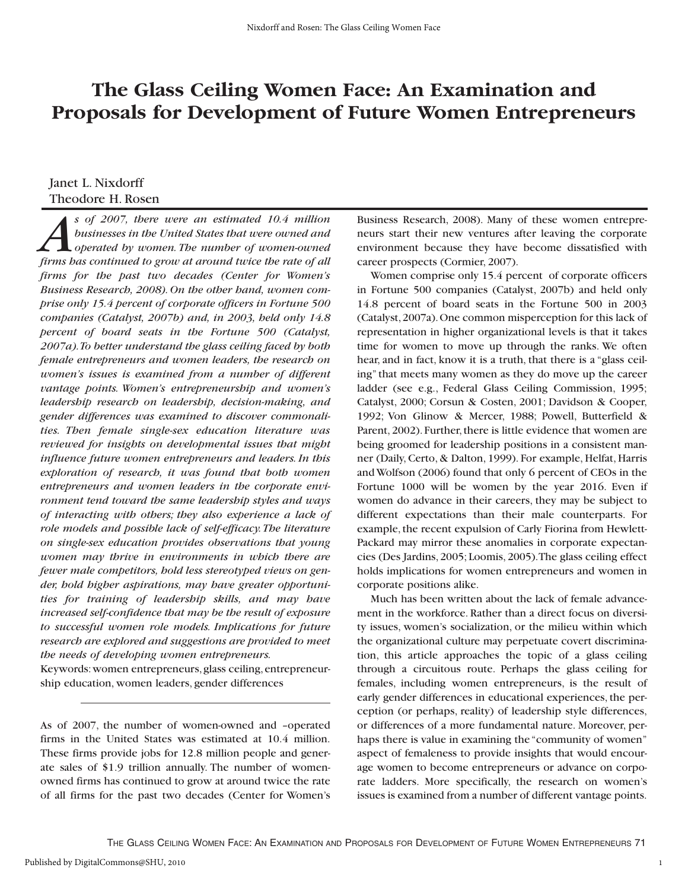## **The Glass Ceiling Women Face: An Examination and Proposals for Development of Future Women Entrepreneurs**

#### Janet L. Nixdorff Theodore H. Rosen

*As of 2007, there were an estimated 10.4 million businesses in the United States that were owned and operated by women. The number of women-owned firms has continued to grow at around twice the rate of all firms for the past two decades (Center for Women's Business Research, 2008). On the other hand, women comprise only 15.4 percent of corporate officers in Fortune 500 companies (Catalyst, 2007b) and, in 2003, held only 14.8 percent of board seats in the Fortune 500 (Catalyst, 2007a).To better understand the glass ceiling faced by both female entrepreneurs and women leaders, the research on women's issues is examined from a number of different vantage points. Women's entrepreneurship and women's leadership research on leadership, decision-making, and gender differences was examined to discover commonalities. Then female single-sex education literature was reviewed for insights on developmental issues that might influence future women entrepreneurs and leaders. In this exploration of research, it was found that both women entrepreneurs and women leaders in the corporate environment tend toward the same leadership styles and ways of interacting with others; they also experience a lack of role models and possible lack of self-efficacy.The literature on single-sex education provides observations that young women may thrive in environments in which there are fewer male competitors, hold less stereotyped views on gender, hold higher aspirations, may have greater opportunities for training of leadership skills, and may have increased self-confidence that may be the result of exposure to successful women role models. Implications for future research are explored and suggestions are provided to meet the needs of developing women entrepreneurs.*

Keywords: women entrepreneurs, glass ceiling, entrepreneurship education, women leaders, gender differences

As of 2007, the number of women-owned and –operated firms in the United States was estimated at 10.4 million. These firms provide jobs for 12.8 million people and generate sales of \$1.9 trillion annually. The number of womenowned firms has continued to grow at around twice the rate of all firms for the past two decades (Center for Women's Business Research, 2008). Many of these women entrepreneurs start their new ventures after leaving the corporate environment because they have become dissatisfied with career prospects (Cormier, 2007).

Women comprise only 15.4 percent of corporate officers in Fortune 500 companies (Catalyst, 2007b) and held only 14.8 percent of board seats in the Fortune 500 in 2003 (Catalyst,2007a).One common misperception for this lack of representation in higher organizational levels is that it takes time for women to move up through the ranks. We often hear, and in fact, know it is a truth, that there is a "glass ceiling" that meets many women as they do move up the career ladder (see e.g., Federal Glass Ceiling Commission, 1995; Catalyst, 2000; Corsun & Costen, 2001; Davidson & Cooper, 1992; Von Glinow & Mercer, 1988; Powell, Butterfield & Parent, 2002). Further, there is little evidence that women are being groomed for leadership positions in a consistent manner (Daily, Certo, & Dalton, 1999). For example, Helfat, Harris and Wolfson (2006) found that only 6 percent of CEOs in the Fortune 1000 will be women by the year 2016. Even if women do advance in their careers, they may be subject to different expectations than their male counterparts. For example, the recent expulsion of Carly Fiorina from Hewlett-Packard may mirror these anomalies in corporate expectancies (Des Jardins, 2005; Loomis, 2005).The glass ceiling effect holds implications for women entrepreneurs and women in corporate positions alike.

Much has been written about the lack of female advancement in the workforce. Rather than a direct focus on diversity issues, women's socialization, or the milieu within which the organizational culture may perpetuate covert discrimination, this article approaches the topic of a glass ceiling through a circuitous route. Perhaps the glass ceiling for females, including women entrepreneurs, is the result of early gender differences in educational experiences, the perception (or perhaps, reality) of leadership style differences, or differences of a more fundamental nature. Moreover, perhaps there is value in examining the "community of women" aspect of femaleness to provide insights that would encourage women to become entrepreneurs or advance on corporate ladders. More specifically, the research on women's issues is examined from a number of different vantage points.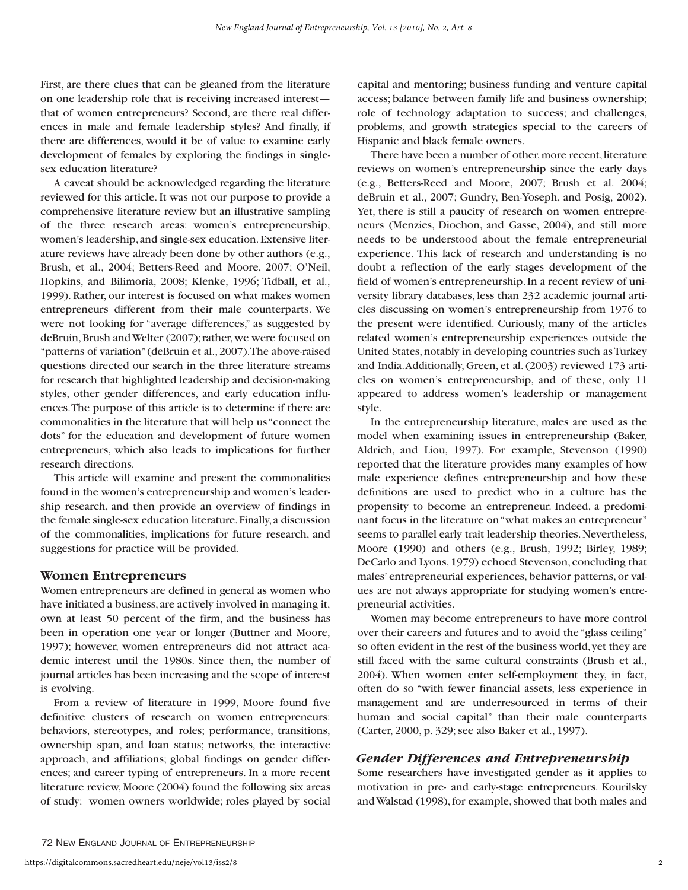First, are there clues that can be gleaned from the literature on one leadership role that is receiving increased interest that of women entrepreneurs? Second, are there real differences in male and female leadership styles? And finally, if there are differences, would it be of value to examine early development of females by exploring the findings in singlesex education literature?

A caveat should be acknowledged regarding the literature reviewed for this article. It was not our purpose to provide a comprehensive literature review but an illustrative sampling of the three research areas: women's entrepreneurship, women's leadership,and single-sex education.Extensive literature reviews have already been done by other authors (e.g., Brush, et al., 2004; Betters-Reed and Moore, 2007; O'Neil, Hopkins, and Bilimoria, 2008; Klenke, 1996; Tidball, et al., 1999). Rather, our interest is focused on what makes women entrepreneurs different from their male counterparts. We were not looking for "average differences," as suggested by deBruin, Brush and Welter (2007); rather, we were focused on "patterns of variation"(deBruin et al.,2007).The above-raised questions directed our search in the three literature streams for research that highlighted leadership and decision-making styles, other gender differences, and early education influences.The purpose of this article is to determine if there are commonalities in the literature that will help us "connect the dots" for the education and development of future women entrepreneurs, which also leads to implications for further research directions.

This article will examine and present the commonalities found in the women's entrepreneurship and women's leadership research, and then provide an overview of findings in the female single-sex education literature.Finally,a discussion of the commonalities, implications for future research, and suggestions for practice will be provided.

#### **Women Entrepreneurs**

Women entrepreneurs are defined in general as women who have initiated a business, are actively involved in managing it, own at least 50 percent of the firm, and the business has been in operation one year or longer (Buttner and Moore, 1997); however, women entrepreneurs did not attract academic interest until the 1980s. Since then, the number of journal articles has been increasing and the scope of interest is evolving.

From a review of literature in 1999, Moore found five definitive clusters of research on women entrepreneurs: behaviors, stereotypes, and roles; performance, transitions, ownership span, and loan status; networks, the interactive approach, and affiliations; global findings on gender differences; and career typing of entrepreneurs. In a more recent literature review, Moore (2004) found the following six areas of study: women owners worldwide; roles played by social

capital and mentoring; business funding and venture capital access; balance between family life and business ownership; role of technology adaptation to success; and challenges, problems, and growth strategies special to the careers of Hispanic and black female owners.

There have been a number of other, more recent, literature reviews on women's entrepreneurship since the early days (e.g., Betters-Reed and Moore, 2007; Brush et al. 2004; deBruin et al., 2007; Gundry, Ben-Yoseph, and Posig, 2002). Yet, there is still a paucity of research on women entrepreneurs (Menzies, Diochon, and Gasse, 2004), and still more needs to be understood about the female entrepreneurial experience. This lack of research and understanding is no doubt a reflection of the early stages development of the field of women's entrepreneurship. In a recent review of university library databases, less than 232 academic journal articles discussing on women's entrepreneurship from 1976 to the present were identified. Curiously, many of the articles related women's entrepreneurship experiences outside the United States, notably in developing countries such as Turkey and India.Additionally, Green, et al. (2003) reviewed 173 articles on women's entrepreneurship, and of these, only 11 appeared to address women's leadership or management style.

In the entrepreneurship literature, males are used as the model when examining issues in entrepreneurship (Baker, Aldrich, and Liou, 1997). For example, Stevenson (1990) reported that the literature provides many examples of how male experience defines entrepreneurship and how these definitions are used to predict who in a culture has the propensity to become an entrepreneur. Indeed, a predominant focus in the literature on "what makes an entrepreneur" seems to parallel early trait leadership theories. Nevertheless, Moore (1990) and others (e.g., Brush, 1992; Birley, 1989; DeCarlo and Lyons, 1979) echoed Stevenson, concluding that males' entrepreneurial experiences, behavior patterns, or values are not always appropriate for studying women's entrepreneurial activities.

Women may become entrepreneurs to have more control over their careers and futures and to avoid the "glass ceiling" so often evident in the rest of the business world,yet they are still faced with the same cultural constraints (Brush et al., 2004). When women enter self-employment they, in fact, often do so "with fewer financial assets, less experience in management and are underresourced in terms of their human and social capital" than their male counterparts (Carter, 2000, p. 329; see also Baker et al., 1997).

#### *Gender Differences and Entrepreneurship*

Some researchers have investigated gender as it applies to motivation in pre- and early-stage entrepreneurs. Kourilsky and Walstad (1998), for example, showed that both males and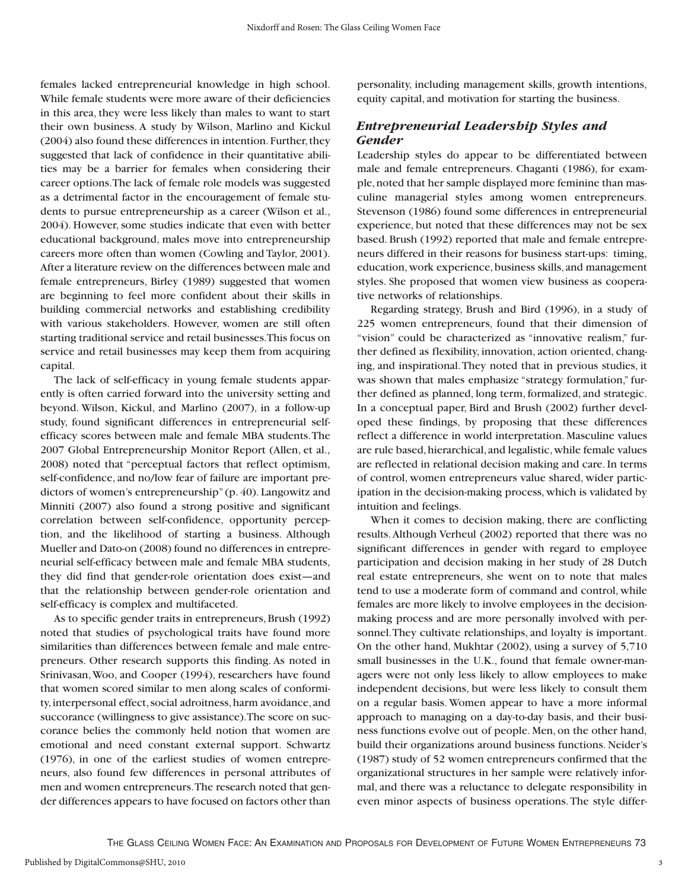females lacked entrepreneurial knowledge in high school. While female students were more aware of their deficiencies in this area, they were less likely than males to want to start their own business. A study by Wilson, Marlino and Kickul  $(2004)$  also found these differences in intention. Further, they suggested that lack of confidence in their quantitative abilities may be a barrier for females when considering their career options.The lack of female role models was suggested as a detrimental factor in the encouragement of female students to pursue entrepreneurship as a career (Wilson et al., 2004). However, some studies indicate that even with better educational background, males move into entrepreneurship careers more often than women (Cowling and Taylor, 2001). After a literature review on the differences between male and female entrepreneurs, Birley (1989) suggested that women are beginning to feel more confident about their skills in building commercial networks and establishing credibility with various stakeholders. However, women are still often starting traditional service and retail businesses.This focus on service and retail businesses may keep them from acquiring capital.

The lack of self-efficacy in young female students apparently is often carried forward into the university setting and beyond. Wilson, Kickul, and Marlino (2007), in a follow-up study, found significant differences in entrepreneurial selfefficacy scores between male and female MBA students.The 2007 Global Entrepreneurship Monitor Report (Allen, et al., 2008) noted that "perceptual factors that reflect optimism, self-confidence, and no/low fear of failure are important predictors of women's entrepreneurship"(p. 40). Langowitz and Minniti (2007) also found a strong positive and significant correlation between self-confidence, opportunity perception, and the likelihood of starting a business. Although Mueller and Dato-on (2008) found no differences in entrepreneurial self-efficacy between male and female MBA students, they did find that gender-role orientation does exist—and that the relationship between gender-role orientation and self-efficacy is complex and multifaceted.

As to specific gender traits in entrepreneurs, Brush (1992) noted that studies of psychological traits have found more similarities than differences between female and male entrepreneurs. Other research supports this finding. As noted in Srinivasan,Woo, and Cooper (1994), researchers have found that women scored similar to men along scales of conformity, interpersonal effect, social adroitness, harm avoidance, and succorance (willingness to give assistance).The score on succorance belies the commonly held notion that women are emotional and need constant external support. Schwartz (1976), in one of the earliest studies of women entrepreneurs, also found few differences in personal attributes of men and women entrepreneurs.The research noted that gender differences appears to have focused on factors other than

personality, including management skills, growth intentions, equity capital, and motivation for starting the business.

#### *Entrepreneurial Leadership Styles and Gender*

Leadership styles do appear to be differentiated between male and female entrepreneurs. Chaganti (1986), for example,noted that her sample displayed more feminine than masculine managerial styles among women entrepreneurs. Stevenson (1986) found some differences in entrepreneurial experience, but noted that these differences may not be sex based. Brush (1992) reported that male and female entrepreneurs differed in their reasons for business start-ups: timing, education, work experience, business skills, and management styles. She proposed that women view business as cooperative networks of relationships.

Regarding strategy, Brush and Bird (1996), in a study of 225 women entrepreneurs, found that their dimension of "vision" could be characterized as "innovative realism," further defined as flexibility, innovation, action oriented, changing, and inspirational.They noted that in previous studies, it was shown that males emphasize "strategy formulation," further defined as planned, long term, formalized, and strategic. In a conceptual paper, Bird and Brush (2002) further developed these findings, by proposing that these differences reflect a difference in world interpretation. Masculine values are rule based, hierarchical, and legalistic, while female values are reflected in relational decision making and care. In terms of control, women entrepreneurs value shared, wider participation in the decision-making process, which is validated by intuition and feelings.

When it comes to decision making, there are conflicting results.Although Verheul (2002) reported that there was no significant differences in gender with regard to employee participation and decision making in her study of 28 Dutch real estate entrepreneurs, she went on to note that males tend to use a moderate form of command and control, while females are more likely to involve employees in the decisionmaking process and are more personally involved with personnel.They cultivate relationships, and loyalty is important. On the other hand, Mukhtar (2002), using a survey of 5,710 small businesses in the U.K., found that female owner-managers were not only less likely to allow employees to make independent decisions, but were less likely to consult them on a regular basis. Women appear to have a more informal approach to managing on a day-to-day basis, and their business functions evolve out of people. Men, on the other hand, build their organizations around business functions. Neider's (1987) study of 52 women entrepreneurs confirmed that the organizational structures in her sample were relatively informal, and there was a reluctance to delegate responsibility in even minor aspects of business operations. The style differ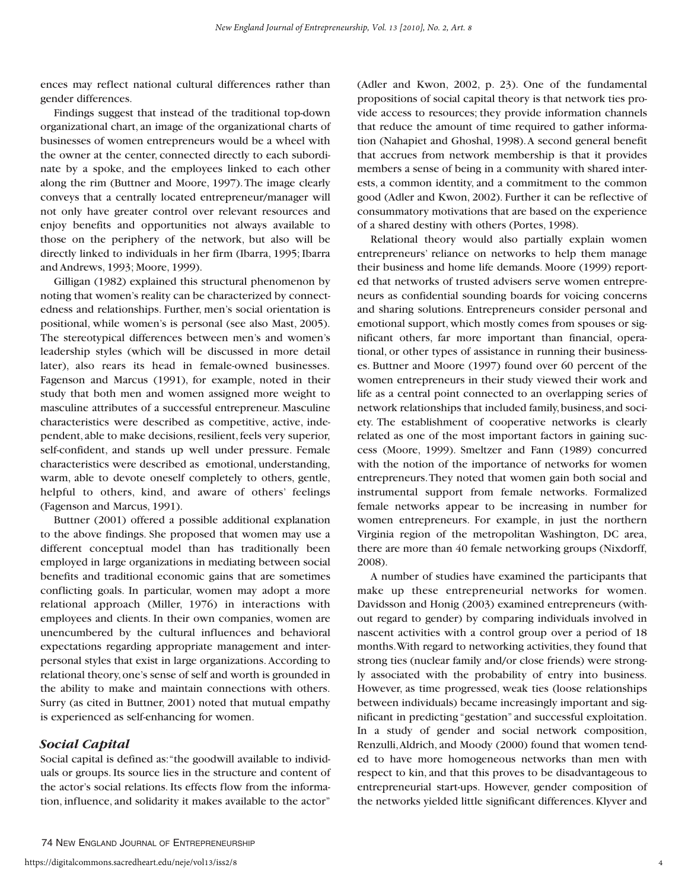ences may reflect national cultural differences rather than gender differences.

Findings suggest that instead of the traditional top-down organizational chart, an image of the organizational charts of businesses of women entrepreneurs would be a wheel with the owner at the center, connected directly to each subordinate by a spoke, and the employees linked to each other along the rim (Buttner and Moore, 1997).The image clearly conveys that a centrally located entrepreneur/manager will not only have greater control over relevant resources and enjoy benefits and opportunities not always available to those on the periphery of the network, but also will be directly linked to individuals in her firm (Ibarra, 1995; Ibarra and Andrews, 1993; Moore, 1999).

Gilligan (1982) explained this structural phenomenon by noting that women's reality can be characterized by connectedness and relationships. Further, men's social orientation is positional, while women's is personal (see also Mast, 2005). The stereotypical differences between men's and women's leadership styles (which will be discussed in more detail later), also rears its head in female-owned businesses. Fagenson and Marcus (1991), for example, noted in their study that both men and women assigned more weight to masculine attributes of a successful entrepreneur. Masculine characteristics were described as competitive, active, independent, able to make decisions, resilient, feels very superior, self-confident, and stands up well under pressure. Female characteristics were described as emotional, understanding, warm, able to devote oneself completely to others, gentle, helpful to others, kind, and aware of others' feelings (Fagenson and Marcus, 1991).

Buttner (2001) offered a possible additional explanation to the above findings. She proposed that women may use a different conceptual model than has traditionally been employed in large organizations in mediating between social benefits and traditional economic gains that are sometimes conflicting goals. In particular, women may adopt a more relational approach (Miller, 1976) in interactions with employees and clients. In their own companies, women are unencumbered by the cultural influences and behavioral expectations regarding appropriate management and interpersonal styles that exist in large organizations. According to relational theory,one's sense of self and worth is grounded in the ability to make and maintain connections with others. Surry (as cited in Buttner, 2001) noted that mutual empathy is experienced as self-enhancing for women.

#### *Social Capital*

Social capital is defined as:"the goodwill available to individuals or groups. Its source lies in the structure and content of the actor's social relations. Its effects flow from the information, influence, and solidarity it makes available to the actor"

(Adler and Kwon, 2002, p. 23). One of the fundamental propositions of social capital theory is that network ties provide access to resources; they provide information channels that reduce the amount of time required to gather information (Nahapiet and Ghoshal, 1998).A second general benefit that accrues from network membership is that it provides members a sense of being in a community with shared interests, a common identity, and a commitment to the common good (Adler and Kwon, 2002). Further it can be reflective of consummatory motivations that are based on the experience of a shared destiny with others (Portes, 1998).

Relational theory would also partially explain women entrepreneurs' reliance on networks to help them manage their business and home life demands. Moore (1999) reported that networks of trusted advisers serve women entrepreneurs as confidential sounding boards for voicing concerns and sharing solutions. Entrepreneurs consider personal and emotional support, which mostly comes from spouses or significant others, far more important than financial, operational, or other types of assistance in running their businesses. Buttner and Moore (1997) found over 60 percent of the women entrepreneurs in their study viewed their work and life as a central point connected to an overlapping series of network relationships that included family, business, and society. The establishment of cooperative networks is clearly related as one of the most important factors in gaining success (Moore, 1999). Smeltzer and Fann (1989) concurred with the notion of the importance of networks for women entrepreneurs.They noted that women gain both social and instrumental support from female networks. Formalized female networks appear to be increasing in number for women entrepreneurs. For example, in just the northern Virginia region of the metropolitan Washington, DC area, there are more than 40 female networking groups (Nixdorff, 2008).

A number of studies have examined the participants that make up these entrepreneurial networks for women. Davidsson and Honig (2003) examined entrepreneurs (without regard to gender) by comparing individuals involved in nascent activities with a control group over a period of 18 months.With regard to networking activities, they found that strong ties (nuclear family and/or close friends) were strongly associated with the probability of entry into business. However, as time progressed, weak ties (loose relationships between individuals) became increasingly important and significant in predicting "gestation" and successful exploitation. In a study of gender and social network composition, Renzulli,Aldrich, and Moody (2000) found that women tended to have more homogeneous networks than men with respect to kin, and that this proves to be disadvantageous to entrepreneurial start-ups. However, gender composition of the networks yielded little significant differences. Klyver and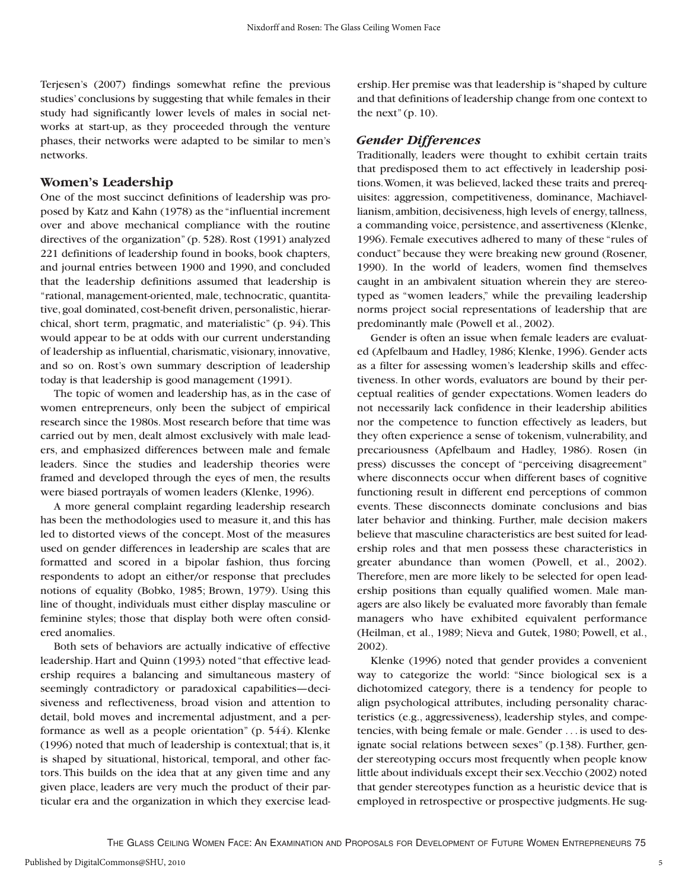Terjesen's (2007) findings somewhat refine the previous studies' conclusions by suggesting that while females in their study had significantly lower levels of males in social networks at start-up, as they proceeded through the venture phases, their networks were adapted to be similar to men's networks.

#### **Women's Leadership**

One of the most succinct definitions of leadership was proposed by Katz and Kahn (1978) as the "influential increment over and above mechanical compliance with the routine directives of the organization" (p. 528). Rost (1991) analyzed 221 definitions of leadership found in books, book chapters, and journal entries between 1900 and 1990, and concluded that the leadership definitions assumed that leadership is "rational, management-oriented, male, technocratic, quantitative, goal dominated, cost-benefit driven, personalistic, hierarchical, short term, pragmatic, and materialistic" (p. 94). This would appear to be at odds with our current understanding of leadership as influential, charismatic, visionary, innovative, and so on. Rost's own summary description of leadership today is that leadership is good management (1991).

The topic of women and leadership has, as in the case of women entrepreneurs, only been the subject of empirical research since the 1980s. Most research before that time was carried out by men, dealt almost exclusively with male leaders, and emphasized differences between male and female leaders. Since the studies and leadership theories were framed and developed through the eyes of men, the results were biased portrayals of women leaders (Klenke, 1996).

A more general complaint regarding leadership research has been the methodologies used to measure it, and this has led to distorted views of the concept. Most of the measures used on gender differences in leadership are scales that are formatted and scored in a bipolar fashion, thus forcing respondents to adopt an either/or response that precludes notions of equality (Bobko, 1985; Brown, 1979). Using this line of thought, individuals must either display masculine or feminine styles; those that display both were often considered anomalies.

Both sets of behaviors are actually indicative of effective leadership. Hart and Quinn (1993) noted "that effective leadership requires a balancing and simultaneous mastery of seemingly contradictory or paradoxical capabilities—decisiveness and reflectiveness, broad vision and attention to detail, bold moves and incremental adjustment, and a performance as well as a people orientation" (p. 544). Klenke (1996) noted that much of leadership is contextual; that is, it is shaped by situational, historical, temporal, and other factors.This builds on the idea that at any given time and any given place, leaders are very much the product of their particular era and the organization in which they exercise leadership.Her premise was that leadership is "shaped by culture and that definitions of leadership change from one context to the next"  $(p. 10)$ .

#### *Gender Differences*

Traditionally, leaders were thought to exhibit certain traits that predisposed them to act effectively in leadership positions.Women, it was believed, lacked these traits and prerequisites: aggression, competitiveness, dominance, Machiavellianism, ambition, decisiveness, high levels of energy, tallness, a commanding voice, persistence, and assertiveness (Klenke, 1996). Female executives adhered to many of these "rules of conduct" because they were breaking new ground (Rosener, 1990). In the world of leaders, women find themselves caught in an ambivalent situation wherein they are stereotyped as "women leaders," while the prevailing leadership norms project social representations of leadership that are predominantly male (Powell et al., 2002).

Gender is often an issue when female leaders are evaluated (Apfelbaum and Hadley, 1986; Klenke, 1996). Gender acts as a filter for assessing women's leadership skills and effectiveness. In other words, evaluators are bound by their perceptual realities of gender expectations. Women leaders do not necessarily lack confidence in their leadership abilities nor the competence to function effectively as leaders, but they often experience a sense of tokenism, vulnerability, and precariousness (Apfelbaum and Hadley, 1986). Rosen (in press) discusses the concept of "perceiving disagreement" where disconnects occur when different bases of cognitive functioning result in different end perceptions of common events. These disconnects dominate conclusions and bias later behavior and thinking. Further, male decision makers believe that masculine characteristics are best suited for leadership roles and that men possess these characteristics in greater abundance than women (Powell, et al., 2002). Therefore, men are more likely to be selected for open leadership positions than equally qualified women. Male managers are also likely be evaluated more favorably than female managers who have exhibited equivalent performance (Heilman, et al., 1989; Nieva and Gutek, 1980; Powell, et al., 2002).

Klenke (1996) noted that gender provides a convenient way to categorize the world: "Since biological sex is a dichotomized category, there is a tendency for people to align psychological attributes, including personality characteristics (e.g., aggressiveness), leadership styles, and competencies, with being female or male. Gender . . . is used to designate social relations between sexes" (p.138). Further, gender stereotyping occurs most frequently when people know little about individuals except their sex.Vecchio (2002) noted that gender stereotypes function as a heuristic device that is employed in retrospective or prospective judgments. He sug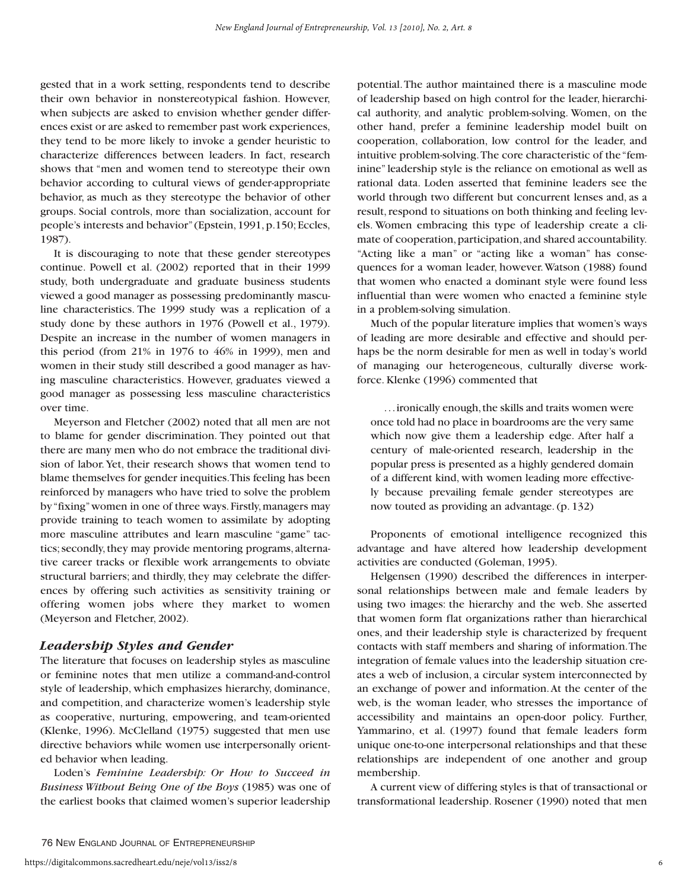gested that in a work setting, respondents tend to describe their own behavior in nonstereotypical fashion. However, when subjects are asked to envision whether gender differences exist or are asked to remember past work experiences, they tend to be more likely to invoke a gender heuristic to characterize differences between leaders. In fact, research shows that "men and women tend to stereotype their own behavior according to cultural views of gender-appropriate behavior, as much as they stereotype the behavior of other groups. Social controls, more than socialization, account for people's interests and behavior"(Epstein,1991,p.150;Eccles, 1987).

It is discouraging to note that these gender stereotypes continue. Powell et al. (2002) reported that in their 1999 study, both undergraduate and graduate business students viewed a good manager as possessing predominantly masculine characteristics. The 1999 study was a replication of a study done by these authors in 1976 (Powell et al., 1979). Despite an increase in the number of women managers in this period (from 21% in 1976 to 46% in 1999), men and women in their study still described a good manager as having masculine characteristics. However, graduates viewed a good manager as possessing less masculine characteristics over time.

Meyerson and Fletcher (2002) noted that all men are not to blame for gender discrimination. They pointed out that there are many men who do not embrace the traditional division of labor.Yet, their research shows that women tend to blame themselves for gender inequities.This feeling has been reinforced by managers who have tried to solve the problem by "fixing" women in one of three ways. Firstly, managers may provide training to teach women to assimilate by adopting more masculine attributes and learn masculine "game" tactics; secondly, they may provide mentoring programs, alternative career tracks or flexible work arrangements to obviate structural barriers; and thirdly, they may celebrate the differences by offering such activities as sensitivity training or offering women jobs where they market to women (Meyerson and Fletcher, 2002).

#### *Leadership Styles and Gender*

The literature that focuses on leadership styles as masculine or feminine notes that men utilize a command-and-control style of leadership, which emphasizes hierarchy, dominance, and competition, and characterize women's leadership style as cooperative, nurturing, empowering, and team-oriented (Klenke, 1996). McClelland (1975) suggested that men use directive behaviors while women use interpersonally oriented behavior when leading.

Loden's *Feminine Leadership: Or How to Succeed in Business Without Being One of the Boys* (1985) was one of the earliest books that claimed women's superior leadership

potential.The author maintained there is a masculine mode of leadership based on high control for the leader, hierarchical authority, and analytic problem-solving. Women, on the other hand, prefer a feminine leadership model built on cooperation, collaboration, low control for the leader, and intuitive problem-solving.The core characteristic of the "feminine" leadership style is the reliance on emotional as well as rational data. Loden asserted that feminine leaders see the world through two different but concurrent lenses and, as a result, respond to situations on both thinking and feeling levels. Women embracing this type of leadership create a climate of cooperation, participation, and shared accountability. "Acting like a man" or "acting like a woman" has consequences for a woman leader, however.Watson (1988) found that women who enacted a dominant style were found less influential than were women who enacted a feminine style in a problem-solving simulation.

Much of the popular literature implies that women's ways of leading are more desirable and effective and should perhaps be the norm desirable for men as well in today's world of managing our heterogeneous, culturally diverse workforce. Klenke (1996) commented that

...ironically enough,the skills and traits women were once told had no place in boardrooms are the very same which now give them a leadership edge. After half a century of male-oriented research, leadership in the popular press is presented as a highly gendered domain of a different kind, with women leading more effectively because prevailing female gender stereotypes are now touted as providing an advantage. (p. 132)

Proponents of emotional intelligence recognized this advantage and have altered how leadership development activities are conducted (Goleman, 1995).

Helgensen (1990) described the differences in interpersonal relationships between male and female leaders by using two images: the hierarchy and the web. She asserted that women form flat organizations rather than hierarchical ones, and their leadership style is characterized by frequent contacts with staff members and sharing of information.The integration of female values into the leadership situation creates a web of inclusion, a circular system interconnected by an exchange of power and information.At the center of the web, is the woman leader, who stresses the importance of accessibility and maintains an open-door policy. Further, Yammarino, et al. (1997) found that female leaders form unique one-to-one interpersonal relationships and that these relationships are independent of one another and group membership.

A current view of differing styles is that of transactional or transformational leadership. Rosener (1990) noted that men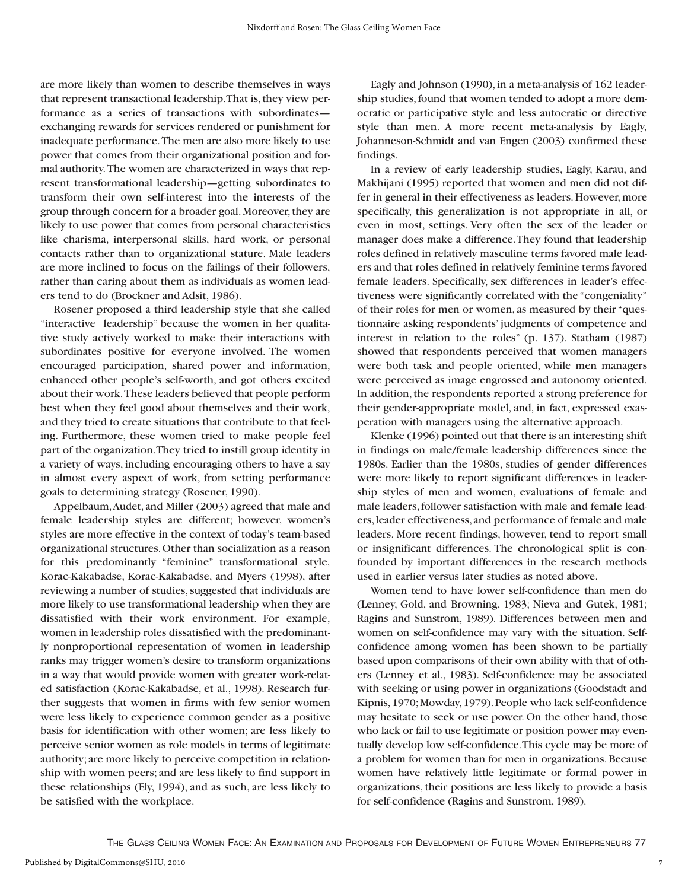are more likely than women to describe themselves in ways that represent transactional leadership. That is, they view performance as a series of transactions with subordinates exchanging rewards for services rendered or punishment for inadequate performance.The men are also more likely to use power that comes from their organizational position and formal authority.The women are characterized in ways that represent transformational leadership—getting subordinates to transform their own self-interest into the interests of the group through concern for a broader goal. Moreover, they are likely to use power that comes from personal characteristics like charisma, interpersonal skills, hard work, or personal contacts rather than to organizational stature. Male leaders are more inclined to focus on the failings of their followers, rather than caring about them as individuals as women leaders tend to do (Brockner and Adsit, 1986).

Rosener proposed a third leadership style that she called "interactive leadership" because the women in her qualitative study actively worked to make their interactions with subordinates positive for everyone involved. The women encouraged participation, shared power and information, enhanced other people's self-worth, and got others excited about their work.These leaders believed that people perform best when they feel good about themselves and their work, and they tried to create situations that contribute to that feeling. Furthermore, these women tried to make people feel part of the organization.They tried to instill group identity in a variety of ways, including encouraging others to have a say in almost every aspect of work, from setting performance goals to determining strategy (Rosener, 1990).

Appelbaum,Audet, and Miller (2003) agreed that male and female leadership styles are different; however, women's styles are more effective in the context of today's team-based organizational structures.Other than socialization as a reason for this predominantly "feminine" transformational style, Korac-Kakabadse, Korac-Kakabadse, and Myers (1998), after reviewing a number of studies, suggested that individuals are more likely to use transformational leadership when they are dissatisfied with their work environment. For example, women in leadership roles dissatisfied with the predominantly nonproportional representation of women in leadership ranks may trigger women's desire to transform organizations in a way that would provide women with greater work-related satisfaction (Korac-Kakabadse, et al., 1998). Research further suggests that women in firms with few senior women were less likely to experience common gender as a positive basis for identification with other women; are less likely to perceive senior women as role models in terms of legitimate authority;are more likely to perceive competition in relationship with women peers; and are less likely to find support in these relationships (Ely, 1994), and as such, are less likely to be satisfied with the workplace.

Eagly and Johnson (1990), in a meta-analysis of 162 leadership studies, found that women tended to adopt a more democratic or participative style and less autocratic or directive style than men. A more recent meta-analysis by Eagly, Johanneson-Schmidt and van Engen (2003) confirmed these findings.

In a review of early leadership studies, Eagly, Karau, and Makhijani (1995) reported that women and men did not differ in general in their effectiveness as leaders. However, more specifically, this generalization is not appropriate in all, or even in most, settings. Very often the sex of the leader or manager does make a difference.They found that leadership roles defined in relatively masculine terms favored male leaders and that roles defined in relatively feminine terms favored female leaders. Specifically, sex differences in leader's effectiveness were significantly correlated with the "congeniality" of their roles for men or women, as measured by their "questionnaire asking respondents' judgments of competence and interest in relation to the roles" (p. 137). Statham (1987) showed that respondents perceived that women managers were both task and people oriented, while men managers were perceived as image engrossed and autonomy oriented. In addition, the respondents reported a strong preference for their gender-appropriate model, and, in fact, expressed exasperation with managers using the alternative approach.

Klenke (1996) pointed out that there is an interesting shift in findings on male/female leadership differences since the 1980s. Earlier than the 1980s, studies of gender differences were more likely to report significant differences in leadership styles of men and women, evaluations of female and male leaders, follower satisfaction with male and female leaders,leader effectiveness,and performance of female and male leaders. More recent findings, however, tend to report small or insignificant differences. The chronological split is confounded by important differences in the research methods used in earlier versus later studies as noted above.

Women tend to have lower self-confidence than men do (Lenney, Gold, and Browning, 1983; Nieva and Gutek, 1981; Ragins and Sunstrom, 1989). Differences between men and women on self-confidence may vary with the situation. Selfconfidence among women has been shown to be partially based upon comparisons of their own ability with that of others (Lenney et al., 1983). Self-confidence may be associated with seeking or using power in organizations (Goodstadt and Kipnis, 1970; Mowday, 1979). People who lack self-confidence may hesitate to seek or use power. On the other hand, those who lack or fail to use legitimate or position power may eventually develop low self-confidence.This cycle may be more of a problem for women than for men in organizations. Because women have relatively little legitimate or formal power in organizations, their positions are less likely to provide a basis for self-confidence (Ragins and Sunstrom, 1989).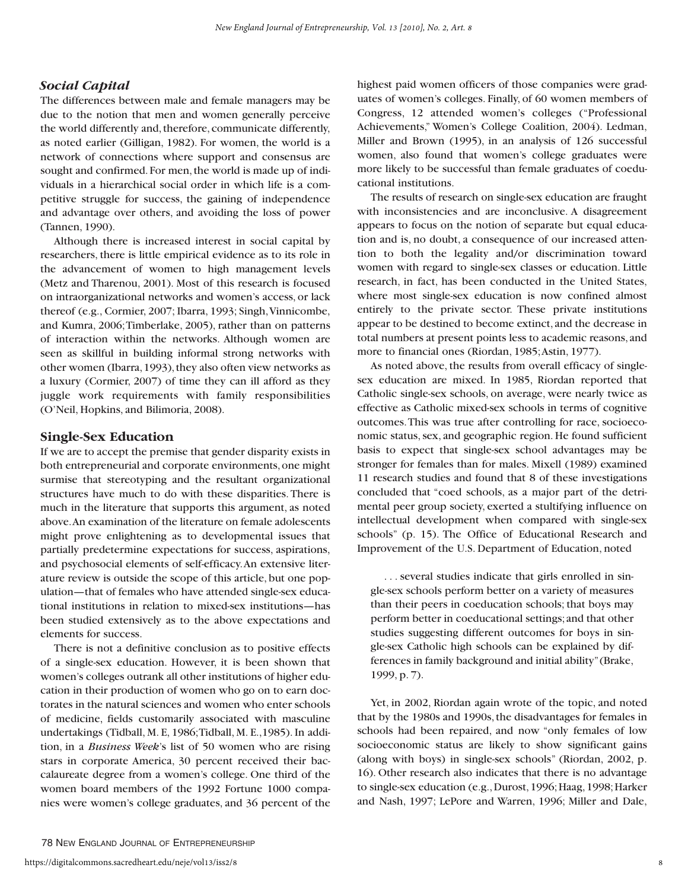#### *Social Capital*

The differences between male and female managers may be due to the notion that men and women generally perceive the world differently and, therefore, communicate differently, as noted earlier (Gilligan, 1982). For women, the world is a network of connections where support and consensus are sought and confirmed. For men, the world is made up of individuals in a hierarchical social order in which life is a competitive struggle for success, the gaining of independence and advantage over others, and avoiding the loss of power (Tannen, 1990).

Although there is increased interest in social capital by researchers, there is little empirical evidence as to its role in the advancement of women to high management levels (Metz and Tharenou, 2001). Most of this research is focused on intraorganizational networks and women's access, or lack thereof (e.g., Cormier, 2007; Ibarra, 1993; Singh,Vinnicombe, and Kumra, 2006;Timberlake, 2005), rather than on patterns of interaction within the networks. Although women are seen as skillful in building informal strong networks with other women (Ibarra, 1993), they also often view networks as a luxury (Cormier, 2007) of time they can ill afford as they juggle work requirements with family responsibilities (O'Neil, Hopkins, and Bilimoria, 2008).

#### **Single-Sex Education**

If we are to accept the premise that gender disparity exists in both entrepreneurial and corporate environments,one might surmise that stereotyping and the resultant organizational structures have much to do with these disparities. There is much in the literature that supports this argument, as noted above.An examination of the literature on female adolescents might prove enlightening as to developmental issues that partially predetermine expectations for success, aspirations, and psychosocial elements of self-efficacy.An extensive literature review is outside the scope of this article, but one population—that of females who have attended single-sex educational institutions in relation to mixed-sex institutions—has been studied extensively as to the above expectations and elements for success.

There is not a definitive conclusion as to positive effects of a single-sex education. However, it is been shown that women's colleges outrank all other institutions of higher education in their production of women who go on to earn doctorates in the natural sciences and women who enter schools of medicine, fields customarily associated with masculine undertakings (Tidball, M. E, 1986;Tidball, M. E.,1985). In addition, in a *Business Week*'s list of 50 women who are rising stars in corporate America, 30 percent received their baccalaureate degree from a women's college. One third of the women board members of the 1992 Fortune 1000 companies were women's college graduates, and 36 percent of the

highest paid women officers of those companies were graduates of women's colleges. Finally, of 60 women members of Congress, 12 attended women's colleges ("Professional Achievements," Women's College Coalition, 2004). Ledman, Miller and Brown (1995), in an analysis of 126 successful women, also found that women's college graduates were more likely to be successful than female graduates of coeducational institutions.

The results of research on single-sex education are fraught with inconsistencies and are inconclusive. A disagreement appears to focus on the notion of separate but equal education and is, no doubt, a consequence of our increased attention to both the legality and/or discrimination toward women with regard to single-sex classes or education. Little research, in fact, has been conducted in the United States, where most single-sex education is now confined almost entirely to the private sector. These private institutions appear to be destined to become extinct,and the decrease in total numbers at present points less to academic reasons,and more to financial ones (Riordan, 1985;Astin, 1977).

As noted above, the results from overall efficacy of singlesex education are mixed. In 1985, Riordan reported that Catholic single-sex schools, on average, were nearly twice as effective as Catholic mixed-sex schools in terms of cognitive outcomes.This was true after controlling for race, socioeconomic status, sex, and geographic region. He found sufficient basis to expect that single-sex school advantages may be stronger for females than for males. Mixell (1989) examined 11 research studies and found that 8 of these investigations concluded that "coed schools, as a major part of the detrimental peer group society, exerted a stultifying influence on intellectual development when compared with single-sex schools" (p. 15). The Office of Educational Research and Improvement of the U.S. Department of Education, noted

. . . several studies indicate that girls enrolled in single-sex schools perform better on a variety of measures than their peers in coeducation schools; that boys may perform better in coeducational settings;and that other studies suggesting different outcomes for boys in single-sex Catholic high schools can be explained by differences in family background and initial ability"(Brake, 1999, p. 7).

Yet, in 2002, Riordan again wrote of the topic, and noted that by the 1980s and 1990s, the disadvantages for females in schools had been repaired, and now "only females of low socioeconomic status are likely to show significant gains (along with boys) in single-sex schools" (Riordan, 2002, p. 16). Other research also indicates that there is no advantage to single-sex education (e.g.,Durost,1996;Haag,1998;Harker and Nash, 1997; LePore and Warren, 1996; Miller and Dale,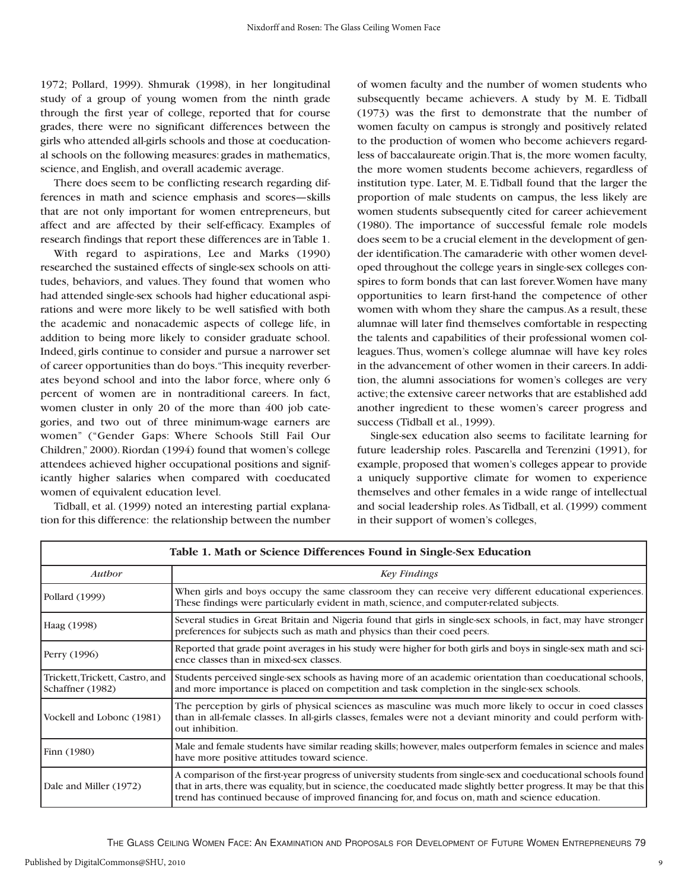1972; Pollard, 1999). Shmurak (1998), in her longitudinal study of a group of young women from the ninth grade through the first year of college, reported that for course grades, there were no significant differences between the girls who attended all-girls schools and those at coeducational schools on the following measures: grades in mathematics, science, and English, and overall academic average.

There does seem to be conflicting research regarding differences in math and science emphasis and scores—skills that are not only important for women entrepreneurs, but affect and are affected by their self-efficacy. Examples of research findings that report these differences are in Table 1.

With regard to aspirations, Lee and Marks (1990) researched the sustained effects of single-sex schools on attitudes, behaviors, and values. They found that women who had attended single-sex schools had higher educational aspirations and were more likely to be well satisfied with both the academic and nonacademic aspects of college life, in addition to being more likely to consider graduate school. Indeed, girls continue to consider and pursue a narrower set of career opportunities than do boys."This inequity reverberates beyond school and into the labor force, where only 6 percent of women are in nontraditional careers. In fact, women cluster in only 20 of the more than 400 job categories, and two out of three minimum-wage earners are women" ("Gender Gaps: Where Schools Still Fail Our Children," 2000). Riordan (1994) found that women's college attendees achieved higher occupational positions and significantly higher salaries when compared with coeducated women of equivalent education level.

Tidball, et al. (1999) noted an interesting partial explanation for this difference: the relationship between the number

of women faculty and the number of women students who subsequently became achievers. A study by M. E. Tidball (1973) was the first to demonstrate that the number of women faculty on campus is strongly and positively related to the production of women who become achievers regardless of baccalaureate origin.That is, the more women faculty, the more women students become achievers, regardless of institution type. Later, M. E.Tidball found that the larger the proportion of male students on campus, the less likely are women students subsequently cited for career achievement (1980). The importance of successful female role models does seem to be a crucial element in the development of gender identification.The camaraderie with other women developed throughout the college years in single-sex colleges conspires to form bonds that can last forever.Women have many opportunities to learn first-hand the competence of other women with whom they share the campus.As a result, these alumnae will later find themselves comfortable in respecting the talents and capabilities of their professional women colleagues.Thus, women's college alumnae will have key roles in the advancement of other women in their careers. In addition, the alumni associations for women's colleges are very active; the extensive career networks that are established add another ingredient to these women's career progress and success (Tidball et al., 1999).

Single-sex education also seems to facilitate learning for future leadership roles. Pascarella and Terenzini (1991), for example, proposed that women's colleges appear to provide a uniquely supportive climate for women to experience themselves and other females in a wide range of intellectual and social leadership roles.As Tidball, et al. (1999) comment in their support of women's colleges,

| Table 1. Math or Science Differences Found in Single-Sex Education |                                                                                                                                                                                                                                                                                                                                           |  |
|--------------------------------------------------------------------|-------------------------------------------------------------------------------------------------------------------------------------------------------------------------------------------------------------------------------------------------------------------------------------------------------------------------------------------|--|
| Author                                                             | <b>Key Findings</b>                                                                                                                                                                                                                                                                                                                       |  |
| Pollard (1999)                                                     | When girls and boys occupy the same classroom they can receive very different educational experiences.<br>These findings were particularly evident in math, science, and computer-related subjects.                                                                                                                                       |  |
| Haag (1998)                                                        | Several studies in Great Britain and Nigeria found that girls in single-sex schools, in fact, may have stronger<br>preferences for subjects such as math and physics than their coed peers.                                                                                                                                               |  |
| Perry (1996)                                                       | Reported that grade point averages in his study were higher for both girls and boys in single-sex math and sci-<br>ence classes than in mixed-sex classes.                                                                                                                                                                                |  |
| Trickett, Trickett, Castro, and<br>Schaffner (1982)                | Students perceived single-sex schools as having more of an academic orientation than coeducational schools,<br>and more importance is placed on competition and task completion in the single-sex schools.                                                                                                                                |  |
| Vockell and Lobonc (1981)                                          | The perception by girls of physical sciences as masculine was much more likely to occur in coed classes<br>than in all-female classes. In all-girls classes, females were not a deviant minority and could perform with-<br>out inhibition.                                                                                               |  |
| Finn $(1980)$                                                      | Male and female students have similar reading skills; however, males outperform females in science and males<br>have more positive attitudes toward science.                                                                                                                                                                              |  |
| Dale and Miller (1972)                                             | A comparison of the first-year progress of university students from single-sex and coeducational schools found<br>that in arts, there was equality, but in science, the coeducated made slightly better progress. It may be that this<br>trend has continued because of improved financing for, and focus on, math and science education. |  |

THE GLASS CEILING WOMEN FACE: AN EXAMINATION AND PROPOSALS FOR DEVELOPMENT OF FUTURE WOMEN ENTREPRENEURS 79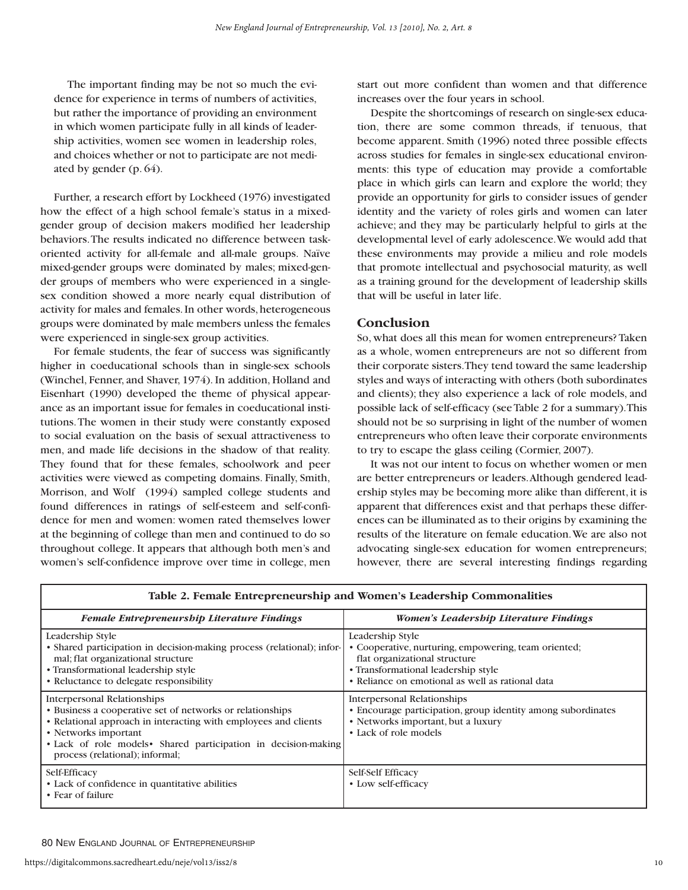The important finding may be not so much the evidence for experience in terms of numbers of activities, but rather the importance of providing an environment in which women participate fully in all kinds of leadership activities, women see women in leadership roles, and choices whether or not to participate are not mediated by gender (p. 64).

Further, a research effort by Lockheed (1976) investigated how the effect of a high school female's status in a mixedgender group of decision makers modified her leadership behaviors.The results indicated no difference between taskoriented activity for all-female and all-male groups. Naïve mixed-gender groups were dominated by males; mixed-gender groups of members who were experienced in a singlesex condition showed a more nearly equal distribution of activity for males and females. In other words, heterogeneous groups were dominated by male members unless the females were experienced in single-sex group activities.

For female students, the fear of success was significantly higher in coeducational schools than in single-sex schools (Winchel, Fenner, and Shaver, 1974). In addition, Holland and Eisenhart (1990) developed the theme of physical appearance as an important issue for females in coeducational institutions.The women in their study were constantly exposed to social evaluation on the basis of sexual attractiveness to men, and made life decisions in the shadow of that reality. They found that for these females, schoolwork and peer activities were viewed as competing domains. Finally, Smith, Morrison, and Wolf (1994) sampled college students and found differences in ratings of self-esteem and self-confidence for men and women: women rated themselves lower at the beginning of college than men and continued to do so throughout college. It appears that although both men's and women's self-confidence improve over time in college, men

start out more confident than women and that difference increases over the four years in school.

Despite the shortcomings of research on single-sex education, there are some common threads, if tenuous, that become apparent. Smith (1996) noted three possible effects across studies for females in single-sex educational environments: this type of education may provide a comfortable place in which girls can learn and explore the world; they provide an opportunity for girls to consider issues of gender identity and the variety of roles girls and women can later achieve; and they may be particularly helpful to girls at the developmental level of early adolescence.We would add that these environments may provide a milieu and role models that promote intellectual and psychosocial maturity, as well as a training ground for the development of leadership skills that will be useful in later life.

#### **Conclusion**

So, what does all this mean for women entrepreneurs? Taken as a whole, women entrepreneurs are not so different from their corporate sisters.They tend toward the same leadership styles and ways of interacting with others (both subordinates and clients); they also experience a lack of role models, and possible lack of self-efficacy (see Table 2 for a summary).This should not be so surprising in light of the number of women entrepreneurs who often leave their corporate environments to try to escape the glass ceiling (Cormier, 2007).

It was not our intent to focus on whether women or men are better entrepreneurs or leaders.Although gendered leadership styles may be becoming more alike than different, it is apparent that differences exist and that perhaps these differences can be illuminated as to their origins by examining the results of the literature on female education.We are also not advocating single-sex education for women entrepreneurs; however, there are several interesting findings regarding

| <b>Female Entrepreneurship Literature Findings</b>                                                                                                                                                                                                                                       | Women's Leadership Literature Findings                                                                                                                                                               |  |
|------------------------------------------------------------------------------------------------------------------------------------------------------------------------------------------------------------------------------------------------------------------------------------------|------------------------------------------------------------------------------------------------------------------------------------------------------------------------------------------------------|--|
| Leadership Style<br>• Shared participation in decision-making process (relational); infor-<br>mal; flat organizational structure<br>• Transformational leadership style<br>• Reluctance to delegate responsibility                                                                       | Leadership Style<br>• Cooperative, nurturing, empowering, team oriented;<br>flat organizational structure<br>• Transformational leadership style<br>• Reliance on emotional as well as rational data |  |
| Interpersonal Relationships<br>• Business a cooperative set of networks or relationships<br>• Relational approach in interacting with employees and clients<br>• Networks important<br>• Lack of role models• Shared participation in decision-making<br>process (relational); informal; | Interpersonal Relationships<br>• Encourage participation, group identity among subordinates<br>• Networks important, but a luxury<br>• Lack of role models                                           |  |
| Self-Efficacy<br>• Lack of confidence in quantitative abilities<br>• Fear of failure                                                                                                                                                                                                     | <b>Self-Self Efficacy</b><br>• Low self-efficacy                                                                                                                                                     |  |

**Table 2. Female Entrepreneurship and Women's Leadership Commonalities**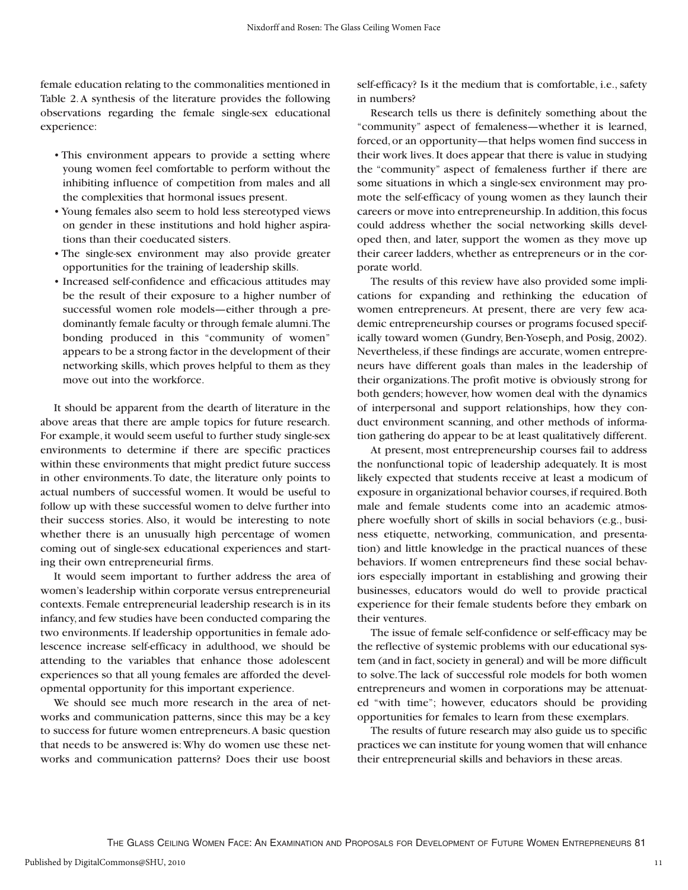female education relating to the commonalities mentioned in Table 2. A synthesis of the literature provides the following observations regarding the female single-sex educational experience:

- This environment appears to provide a setting where young women feel comfortable to perform without the inhibiting influence of competition from males and all the complexities that hormonal issues present.
- Young females also seem to hold less stereotyped views on gender in these institutions and hold higher aspirations than their coeducated sisters.
- The single-sex environment may also provide greater opportunities for the training of leadership skills.
- Increased self-confidence and efficacious attitudes may be the result of their exposure to a higher number of successful women role models—either through a predominantly female faculty or through female alumni.The bonding produced in this "community of women" appears to be a strong factor in the development of their networking skills, which proves helpful to them as they move out into the workforce.

It should be apparent from the dearth of literature in the above areas that there are ample topics for future research. For example, it would seem useful to further study single-sex environments to determine if there are specific practices within these environments that might predict future success in other environments.To date, the literature only points to actual numbers of successful women. It would be useful to follow up with these successful women to delve further into their success stories. Also, it would be interesting to note whether there is an unusually high percentage of women coming out of single-sex educational experiences and starting their own entrepreneurial firms.

It would seem important to further address the area of women's leadership within corporate versus entrepreneurial contexts. Female entrepreneurial leadership research is in its infancy,and few studies have been conducted comparing the two environments. If leadership opportunities in female adolescence increase self-efficacy in adulthood, we should be attending to the variables that enhance those adolescent experiences so that all young females are afforded the developmental opportunity for this important experience.

We should see much more research in the area of networks and communication patterns, since this may be a key to success for future women entrepreneurs.A basic question that needs to be answered is: Why do women use these networks and communication patterns? Does their use boost self-efficacy? Is it the medium that is comfortable, i.e., safety in numbers?

Research tells us there is definitely something about the "community" aspect of femaleness—whether it is learned, forced, or an opportunity—that helps women find success in their work lives. It does appear that there is value in studying the "community" aspect of femaleness further if there are some situations in which a single-sex environment may promote the self-efficacy of young women as they launch their careers or move into entrepreneurship.In addition,this focus could address whether the social networking skills developed then, and later, support the women as they move up their career ladders, whether as entrepreneurs or in the corporate world.

The results of this review have also provided some implications for expanding and rethinking the education of women entrepreneurs. At present, there are very few academic entrepreneurship courses or programs focused specifically toward women (Gundry, Ben-Yoseph, and Posig, 2002). Nevertheless, if these findings are accurate, women entrepreneurs have different goals than males in the leadership of their organizations.The profit motive is obviously strong for both genders; however, how women deal with the dynamics of interpersonal and support relationships, how they conduct environment scanning, and other methods of information gathering do appear to be at least qualitatively different.

At present, most entrepreneurship courses fail to address the nonfunctional topic of leadership adequately. It is most likely expected that students receive at least a modicum of exposure in organizational behavior courses, if required. Both male and female students come into an academic atmosphere woefully short of skills in social behaviors (e.g., business etiquette, networking, communication, and presentation) and little knowledge in the practical nuances of these behaviors. If women entrepreneurs find these social behaviors especially important in establishing and growing their businesses, educators would do well to provide practical experience for their female students before they embark on their ventures.

The issue of female self-confidence or self-efficacy may be the reflective of systemic problems with our educational system (and in fact, society in general) and will be more difficult to solve.The lack of successful role models for both women entrepreneurs and women in corporations may be attenuated "with time"; however, educators should be providing opportunities for females to learn from these exemplars.

The results of future research may also guide us to specific practices we can institute for young women that will enhance their entrepreneurial skills and behaviors in these areas.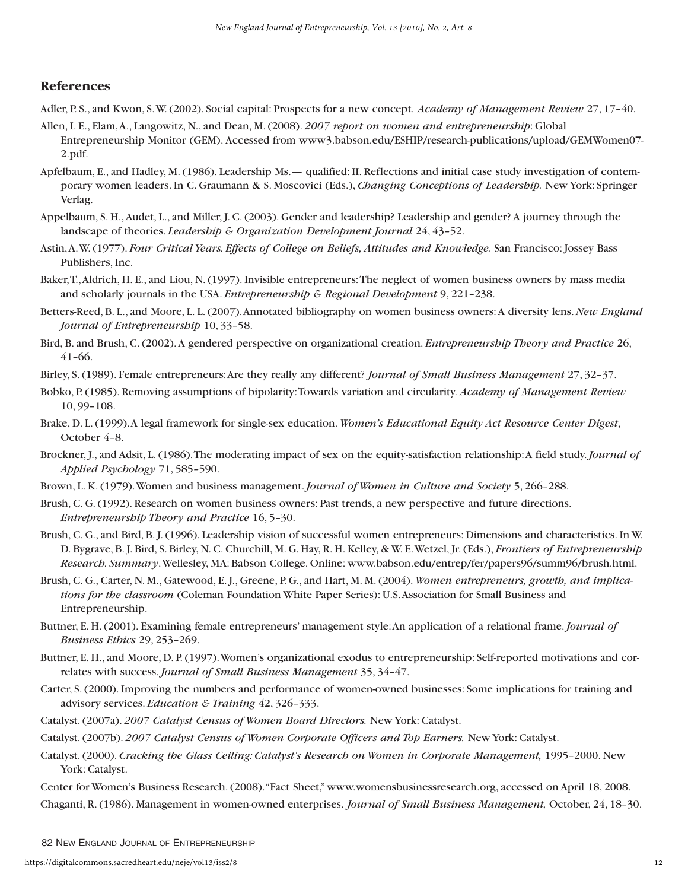#### **References**

- Adler, P. S., and Kwon, S.W. (2002). Social capital: Prospects for a new concept. *Academy of Management Review* 27, 17–40.
- Allen, I. E., Elam,A., Langowitz, N., and Dean, M. (2008). *2007 report on women and entrepreneurship*: Global Entrepreneurship Monitor (GEM). Accessed from www3.babson.edu/ESHIP/research-publications/upload/GEMWomen07- 2.pdf.
- Apfelbaum, E., and Hadley, M. (1986). Leadership Ms.— qualified: II. Reflections and initial case study investigation of contemporary women leaders. In C. Graumann & S. Moscovici (Eds.), *Changing Conceptions of Leadership.* New York: Springer Verlag.
- Appelbaum, S. H.,Audet, L., and Miller, J. C. (2003). Gender and leadership? Leadership and gender? A journey through the landscape of theories. *Leadership & Organization Development Journal* 24, 43–52.
- Astin,A.W. (1977). *Four Critical Years. Effects of College on Beliefs, Attitudes and Knowledge.* San Francisco: Jossey Bass Publishers, Inc.
- Baker,T.,Aldrich, H. E., and Liou, N. (1997). Invisible entrepreneurs:The neglect of women business owners by mass media and scholarly journals in the USA. *Entrepreneurship & Regional Development* 9, 221–238.
- Betters-Reed, B. L., and Moore, L. L. (2007).Annotated bibliography on women business owners:A diversity lens.*New England Journal of Entrepreneurship* 10, 33–58.
- Bird, B. and Brush, C. (2002).A gendered perspective on organizational creation. *Entrepreneurship Theory and Practice* 26, 41–66.
- Birley, S. (1989). Female entrepreneurs:Are they really any different? *Journal of Small Business Management* 27, 32–37.
- Bobko, P.(1985). Removing assumptions of bipolarity:Towards variation and circularity. *Academy of Management Review* 10, 99–108.
- Brake, D. L. (1999).A legal framework for single-sex education. *Women's Educational Equity Act Resource Center Digest*, October 4–8.
- Brockner, J., and Adsit, L. (1986).The moderating impact of sex on the equity-satisfaction relationship:A field study.*Journal of Applied Psychology* 71, 585–590.
- Brown, L. K. (1979).Women and business management.*Journal of Women in Culture and Society* 5, 266–288.
- Brush, C. G. (1992). Research on women business owners: Past trends, a new perspective and future directions. *Entrepreneurship Theory and Practice* 16, 5–30.
- Brush, C. G., and Bird, B. J. (1996). Leadership vision of successful women entrepreneurs: Dimensions and characteristics. In W. D. Bygrave, B. J. Bird, S. Birley, N. C. Churchill, M. G. Hay, R. H. Kelley, & W. E.Wetzel, Jr. (Eds.), *Frontiers of Entrepreneurship Research. Summary*.Wellesley, MA: Babson College. Online: www.babson.edu/entrep/fer/papers96/summ96/brush.html.
- Brush, C. G., Carter, N. M., Gatewood, E. J., Greene, P. G., and Hart, M. M. (2004). *Women entrepreneurs, growth, and implications for the classroom* (Coleman Foundation White Paper Series): U.S.Association for Small Business and Entrepreneurship.
- Buttner, E. H. (2001). Examining female entrepreneurs' management style:An application of a relational frame.*Journal of Business Ethics* 29, 253–269.
- Buttner, E. H., and Moore, D. P. (1997).Women's organizational exodus to entrepreneurship: Self-reported motivations and correlates with success.*Journal of Small Business Management* 35, 34–47.
- Carter, S. (2000). Improving the numbers and performance of women-owned businesses: Some implications for training and advisory services. *Education & Training* 42, 326–333.
- Catalyst.(2007a). *2007 Catalyst Census of Women Board Directors.* New York: Catalyst.
- Catalyst. (2007b). *2007 Catalyst Census of Women Corporate Officers and Top Earners.* New York: Catalyst.
- Catalyst. (2000). *Cracking the Glass Ceiling: Catalyst's Research on Women in Corporate Management,* 1995–2000. New York: Catalyst.
- Center for Women's Business Research. (2008)."Fact Sheet," www.womensbusinessresearch.org, accessed on April 18, 2008. Chaganti, R. (1986). Management in women-owned enterprises. *Journal of Small Business Management,* October, 24, 18–30.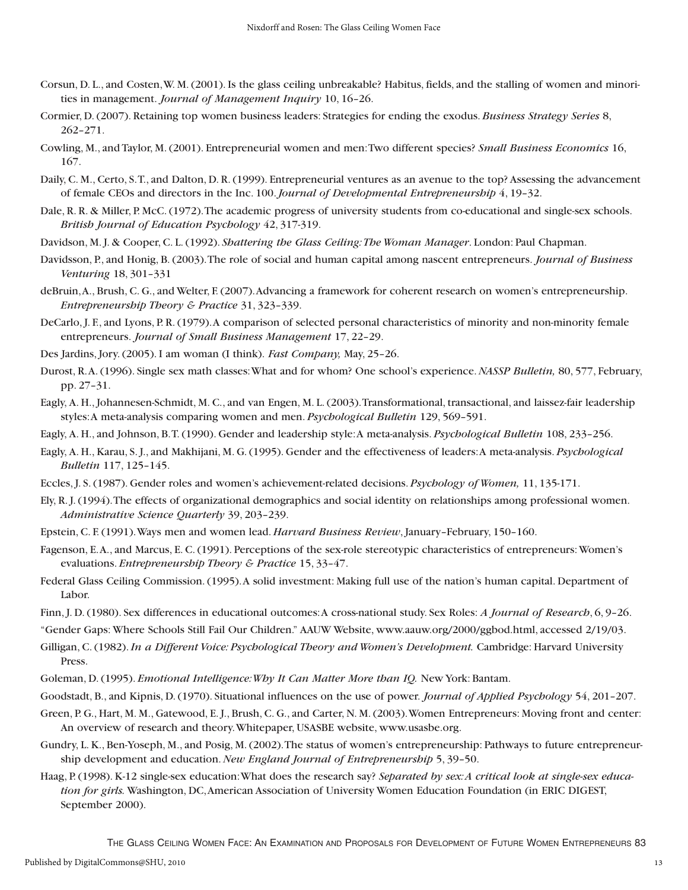- Corsun, D. L., and Costen,W. M. (2001). Is the glass ceiling unbreakable? Habitus, fields, and the stalling of women and minorities in management. *Journal of Management Inquiry* 10, 16–26.
- Cormier, D. (2007). Retaining top women business leaders: Strategies for ending the exodus. *Business Strategy Series* 8, 262–271.
- Cowling, M., and Taylor, M. (2001). Entrepreneurial women and men:Two different species? *Small Business Economics* 16, 167.
- Daily, C. M., Certo, S.T., and Dalton, D. R. (1999). Entrepreneurial ventures as an avenue to the top? Assessing the advancement of female CEOs and directors in the Inc. 100.*Journal of Developmental Entrepreneurship* 4, 19–32.
- Dale, R. R. & Miller, P. McC. (1972).The academic progress of university students from co-educational and single-sex schools. *British Journal of Education Psychology* 42, 317-319.
- Davidson, M. J. & Cooper, C. L. (1992). *Shattering the Glass Ceiling:The Woman Manager*. London: Paul Chapman.
- Davidsson, P., and Honig, B. (2003).The role of social and human capital among nascent entrepreneurs. *Journal of Business Venturing* 18, 301–331
- deBruin,A., Brush, C. G., and Welter, F. (2007).Advancing a framework for coherent research on women's entrepreneurship. *Entrepreneurship Theory & Practice* 31, 323–339.
- DeCarlo, J. F., and Lyons, P. R. (1979).A comparison of selected personal characteristics of minority and non-minority female entrepreneurs. *Journal of Small Business Management* 17, 22–29.
- Des Jardins, Jory. (2005). I am woman (I think). *Fast Company,* May, 25–26.
- Durost, R.A. (1996). Single sex math classes:What and for whom? One school's experience.*NASSP Bulletin,* 80, 577, February, pp. 27–31.
- Eagly, A. H., Johannesen-Schmidt, M. C., and van Engen, M. L. (2003).Transformational, transactional, and laissez-fair leadership styles:A meta-analysis comparing women and men. *Psychological Bulletin* 129, 569–591.
- Eagly, A. H., and Johnson, B.T. (1990). Gender and leadership style:A meta-analysis. *Psychological Bulletin* 108, 233–256.
- Eagly, A. H., Karau, S. J., and Makhijani, M. G. (1995). Gender and the effectiveness of leaders:A meta-analysis. *Psychological Bulletin* 117, 125–145.
- Eccles, J. S. (1987). Gender roles and women's achievement-related decisions. *Psychology of Women,* 11, 135-171.
- Ely, R. J. (1994).The effects of organizational demographics and social identity on relationships among professional women. *Administrative Science Quarterly* 39, 203–239.
- Epstein, C. F. (1991).Ways men and women lead. *Harvard Business Review*, January–February, 150–160.
- Fagenson, E.A., and Marcus, E. C. (1991). Perceptions of the sex-role stereotypic characteristics of entrepreneurs:Women's evaluations. *Entrepreneurship Theory & Practice* 15, 33–47.
- Federal Glass Ceiling Commission. (1995).A solid investment: Making full use of the nation's human capital. Department of Labor.
- Finn, J. D. (1980). Sex differences in educational outcomes:A cross-national study. Sex Roles: *A Journal of Research*, 6, 9–26.

"Gender Gaps: Where Schools Still Fail Our Children." AAUW Website, www.aauw.org/2000/ggbod.html, accessed 2/19/03.

- Gilligan, C. (1982).*In a Different Voice: Psychological Theory and Women's Development.* Cambridge: Harvard University Press.
- Goleman, D. (1995). *Emotional Intelligence:Why It Can Matter More than IQ.* New York: Bantam.
- Goodstadt, B., and Kipnis, D. (1970). Situational influences on the use of power. *Journal of Applied Psychology* 54, 201–207.
- Green, P. G., Hart, M. M., Gatewood, E. J., Brush, C. G., and Carter, N. M. (2003).Women Entrepreneurs: Moving front and center: An overview of research and theory.Whitepaper, USASBE website, www.usasbe.org.
- Gundry, L. K., Ben-Yoseph, M., and Posig, M. (2002).The status of women's entrepreneurship: Pathways to future entrepreneurship development and education.*New England Journal of Entrepreneurship* 5, 39–50.
- Haag, P. (1998). K-12 single-sex education:What does the research say? *Separated by sex:A critical look at single-sex education for girls.* Washington, DC,American Association of University Women Education Foundation (in ERIC DIGEST, September 2000).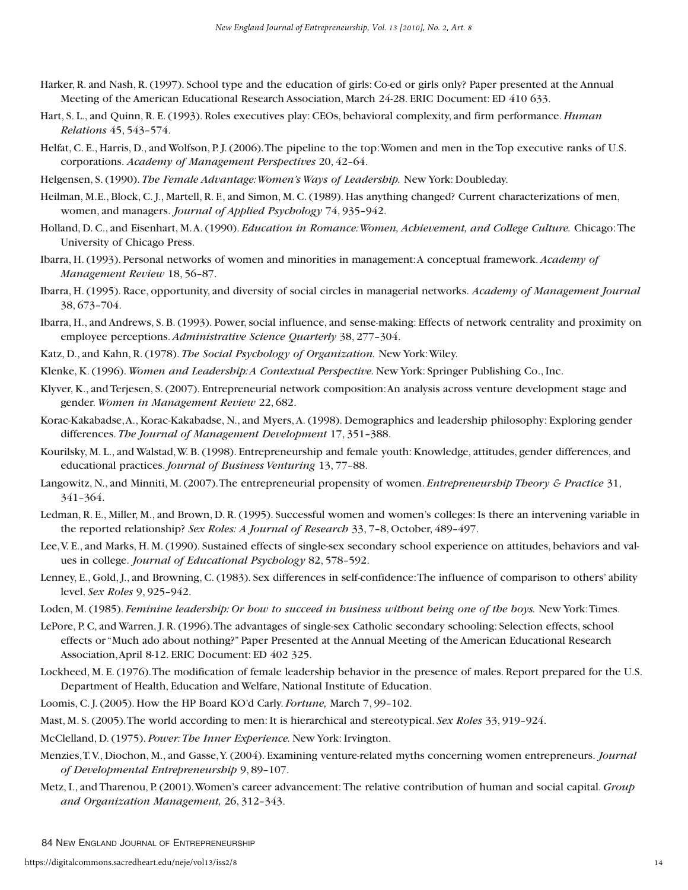- Harker, R. and Nash, R. (1997). School type and the education of girls: Co-ed or girls only? Paper presented at the Annual Meeting of the American Educational Research Association, March 24-28. ERIC Document: ED 410 633.
- Hart, S. L., and Quinn, R. E. (1993). Roles executives play: CEOs, behavioral complexity, and firm performance. *Human Relations* 45, 543–574.
- Helfat, C. E., Harris, D., and Wolfson, P. J. (2006).The pipeline to the top:Women and men in the Top executive ranks of U.S. corporations. *Academy of Management Perspectives* 20, 42–64.
- Helgensen, S. (1990). *The Female Advantage:Women's Ways of Leadership.* New York: Doubleday.
- Heilman, M.E., Block, C. J., Martell, R. F., and Simon, M. C. (1989). Has anything changed? Current characterizations of men, women, and managers. *Journal of Applied Psychology* 74, 935–942.
- Holland, D. C., and Eisenhart, M.A. (1990). *Education in Romance:Women, Achievement, and College Culture.* Chicago:The University of Chicago Press.
- Ibarra, H. (1993). Personal networks of women and minorities in management:A conceptual framework. *Academy of Management Review* 18, 56–87.
- Ibarra, H. (1995). Race, opportunity, and diversity of social circles in managerial networks. *Academy of Management Journal* 38, 673–704.
- Ibarra, H., and Andrews, S. B. (1993). Power, social influence, and sense-making: Effects of network centrality and proximity on employee perceptions. *Administrative Science Quarterly* 38, 277–304.
- Katz, D., and Kahn, R. (1978). *The Social Psychology of Organization.* New York:Wiley.
- Klenke, K. (1996). *Women and Leadership:A Contextual Perspective.* New York: Springer Publishing Co., Inc.
- Klyver, K., and Terjesen, S. (2007). Entrepreneurial network composition:An analysis across venture development stage and gender. *Women in Management Review* 22, 682.
- Korac-Kakabadse,A., Korac-Kakabadse, N., and Myers,A. (1998). Demographics and leadership philosophy: Exploring gender differences. *The Journal of Management Development* 17, 351–388.
- Kourilsky, M. L., and Walstad,W. B. (1998). Entrepreneurship and female youth: Knowledge, attitudes, gender differences, and educational practices.*Journal of Business Venturing* 13, 77–88.
- Langowitz, N., and Minniti, M. (2007).The entrepreneurial propensity of women. *Entrepreneurship Theory & Practice* 31, 341–364.
- Ledman, R. E., Miller, M., and Brown, D. R. (1995). Successful women and women's colleges: Is there an intervening variable in the reported relationship? *Sex Roles: A Journal of Research* 33, 7–8, October, 489–497.
- Lee,V. E., and Marks, H. M. (1990). Sustained effects of single-sex secondary school experience on attitudes, behaviors and values in college. *Journal of Educational Psychology* 82, 578–592.
- Lenney, E., Gold, J., and Browning, C. (1983). Sex differences in self-confidence:The influence of comparison to others' ability level. *Sex Roles* 9, 925–942.
- Loden, M.(1985). *Feminine leadership: Or how to succeed in business without being one of the boys.* New York:Times.
- LePore, P. C, and Warren, J. R. (1996).The advantages of single-sex Catholic secondary schooling: Selection effects, school effects or "Much ado about nothing?" Paper Presented at the Annual Meeting of the American Educational Research Association,April 8-12. ERIC Document: ED 402 325.
- Lockheed, M. E. (1976).The modification of female leadership behavior in the presence of males. Report prepared for the U.S. Department of Health, Education and Welfare, National Institute of Education.
- Loomis, C. J. (2005). How the HP Board KO'd Carly. *Fortune,* March 7, 99–102.
- Mast, M. S. (2005).The world according to men: It is hierarchical and stereotypical. *Sex Roles* 33, 919–924.
- McClelland, D. (1975). *Power:The Inner Experience.* New York: Irvington.
- Menzies,T.V., Diochon, M., and Gasse,Y. (2004). Examining venture-related myths concerning women entrepreneurs. *Journal of Developmental Entrepreneurship* 9, 89–107.
- Metz, I., and Tharenou, P. (2001).Women's career advancement: The relative contribution of human and social capital. *Group and Organization Management,* 26, 312–343.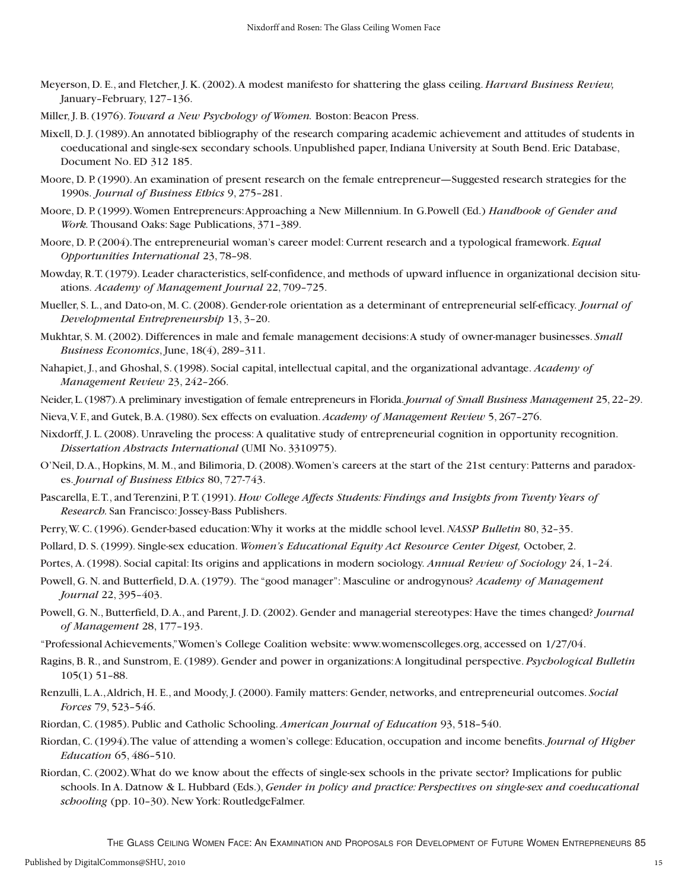- Meyerson, D. E., and Fletcher, J. K. (2002).A modest manifesto for shattering the glass ceiling. *Harvard Business Review,* January–February, 127–136.
- Miller, J. B. (1976). *Toward a New Psychology of Women.* Boston: Beacon Press.
- Mixell, D. J. (1989).An annotated bibliography of the research comparing academic achievement and attitudes of students in coeducational and single-sex secondary schools. Unpublished paper, Indiana University at South Bend. Eric Database, Document No. ED 312 185.
- Moore, D. P. (1990).An examination of present research on the female entrepreneur—Suggested research strategies for the 1990s. *Journal of Business Ethics* 9, 275–281.
- Moore, D. P. (1999).Women Entrepreneurs:Approaching a New Millennium. In G.Powell (Ed.) *Handbook of Gender and Work.* Thousand Oaks: Sage Publications, 371–389.
- Moore, D. P. (2004).The entrepreneurial woman's career model: Current research and a typological framework. *Equal Opportunities International* 23, 78–98.
- Mowday, R.T. (1979). Leader characteristics, self-confidence, and methods of upward influence in organizational decision situations. *Academy of Management Journal* 22, 709–725.
- Mueller, S. L., and Dato-on, M. C. (2008). Gender-role orientation as a determinant of entrepreneurial self-efficacy. *Journal of Developmental Entrepreneurship* 13, 3–20.
- Mukhtar, S. M. (2002). Differences in male and female management decisions:A study of owner-manager businesses. *Small Business Economics*, June, 18(4), 289–311.
- Nahapiet, J., and Ghoshal, S.(1998). Social capital, intellectual capital, and the organizational advantage. *Academy of Management Review* 23, 242–266.
- Neider, L.(1987).A preliminary investigation of female entrepreneurs in Florida.*Journal of Small Business Management* 25,22–29.
- Nieva,V. F., and Gutek, B.A. (1980). Sex effects on evaluation. *Academy of Management Review* 5, 267–276.
- Nixdorff, J. L. (2008). Unraveling the process: A qualitative study of entrepreneurial cognition in opportunity recognition. *Dissertation Abstracts International* (UMI No. 3310975).
- O'Neil, D.A., Hopkins, M. M., and Bilimoria, D. (2008).Women's careers at the start of the 21st century: Patterns and paradoxes.*Journal of Business Ethics* 80, 727-743.
- Pascarella, E.T., and Terenzini, P. T. (1991). *How College Affects Students: Findings and Insights from Twenty Years of Research.* San Francisco: Jossey-Bass Publishers.
- Perry,W. C. (1996). Gender-based education:Why it works at the middle school level.*NASSP Bulletin* 80, 32–35.
- Pollard, D. S. (1999). Single-sex education. *Women's Educational Equity Act Resource Center Digest,* October, 2.
- Portes, A.(1998). Social capital: Its origins and applications in modern sociology. *Annual Review of Sociology* 24, 1–24.
- Powell, G. N. and Butterfield, D.A. (1979). The "good manager": Masculine or androgynous? *Academy of Management Journal* 22, 395–403.
- Powell, G. N., Butterfield, D.A., and Parent, J. D. (2002). Gender and managerial stereotypes: Have the times changed? *Journal of Management* 28, 177–193.
- "Professional Achievements,"Women's College Coalition website: www.womenscolleges.org, accessed on 1/27/04.
- Ragins, B. R., and Sunstrom, E. (1989). Gender and power in organizations:A longitudinal perspective. *Psychological Bulletin* 105(1) 51–88.
- Renzulli, L.A.,Aldrich, H. E., and Moody, J. (2000). Family matters: Gender, networks, and entrepreneurial outcomes. *Social Forces* 79, 523–546.
- Riordan, C.(1985). Public and Catholic Schooling. *American Journal of Education* 93, 518–540.
- Riordan, C. (1994).The value of attending a women's college: Education, occupation and income benefits.*Journal of Higher Education* 65, 486–510.
- Riordan, C. (2002).What do we know about the effects of single-sex schools in the private sector? Implications for public schools. In A. Datnow & L. Hubbard (Eds.), *Gender in policy and practice: Perspectives on single-sex and coeducational schooling* (pp. 10–30). New York: RoutledgeFalmer.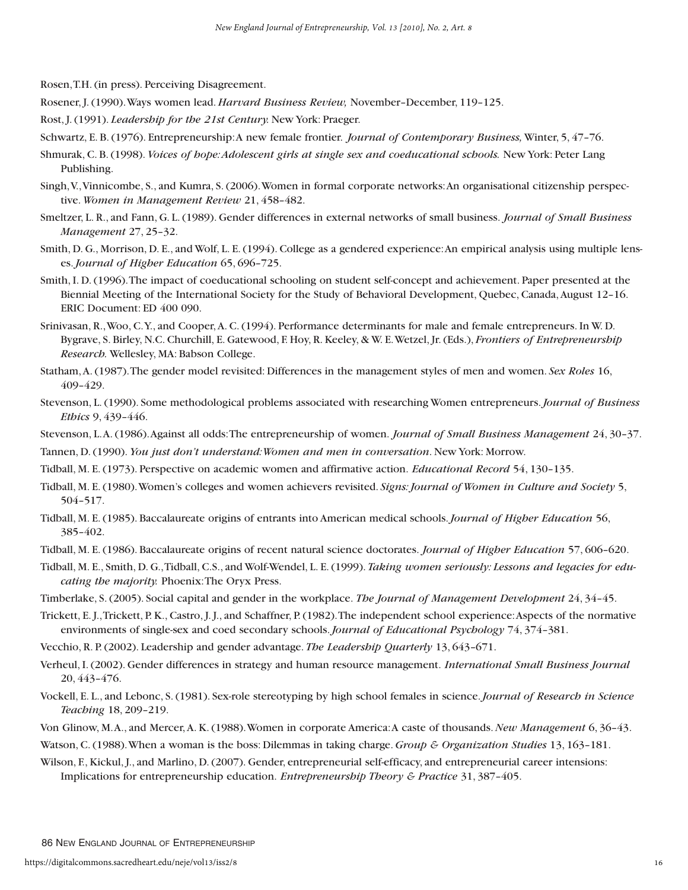Rosen,T.H. (in press). Perceiving Disagreement.

Rosener, J. (1990).Ways women lead. *Harvard Business Review,* November–December, 119–125.

Rost, J. (1991). *Leadership for the 21st Century.* New York: Praeger.

Schwartz, E. B. (1976). Entrepreneurship:A new female frontier. *Journal of Contemporary Business,* Winter, 5, 47–76.

- Shmurak, C. B. (1998). *Voices of hope:Adolescent girls at single sex and coeducational schools.* New York: Peter Lang Publishing.
- Singh,V.,Vinnicombe, S., and Kumra, S. (2006).Women in formal corporate networks:An organisational citizenship perspective. *Women in Management Review* 21, 458–482.
- Smeltzer, L. R., and Fann, G. L. (1989). Gender differences in external networks of small business. *Journal of Small Business Management* 27, 25–32.
- Smith, D. G., Morrison, D. E., and Wolf, L. E. (1994). College as a gendered experience: An empirical analysis using multiple lenses.*Journal of Higher Education* 65, 696–725.
- Smith, I. D. (1996).The impact of coeducational schooling on student self-concept and achievement. Paper presented at the Biennial Meeting of the International Society for the Study of Behavioral Development, Quebec, Canada, August 12-16. ERIC Document: ED 400 090.
- Srinivasan, R.,Woo, C.Y., and Cooper,A. C. (1994). Performance determinants for male and female entrepreneurs. In W. D. Bygrave, S. Birley, N.C. Churchill, E. Gatewood, F. Hoy, R. Keeley, & W. E.Wetzel, Jr. (Eds.), *Frontiers of Entrepreneurship Research.* Wellesley, MA: Babson College.
- Statham,A. (1987).The gender model revisited: Differences in the management styles of men and women. *Sex Roles* 16, 409–429.
- Stevenson, L. (1990). Some methodological problems associated with researching Women entrepreneurs.*Journal of Business Ethics* 9, 439–446.
- Stevenson, L.A. (1986).Against all odds:The entrepreneurship of women. *Journal of Small Business Management* 24, 30–37.
- Tannen, D. (1990). *You just don't understand:Women and men in conversation*. New York: Morrow.
- Tidball, M. E. (1973). Perspective on academic women and affirmative action. *Educational Record* 54, 130–135.
- Tidball, M. E. (1980).Women's colleges and women achievers revisited. *Signs: Journal of Women in Culture and Society* 5, 504–517.
- Tidball, M. E. (1985). Baccalaureate origins of entrants into American medical schools.*Journal of Higher Education* 56, 385–402.
- Tidball, M. E. (1986). Baccalaureate origins of recent natural science doctorates. *Journal of Higher Education* 57, 606–620.
- Tidball, M. E., Smith, D. G.,Tidball, C.S., and Wolf-Wendel, L. E. (1999). *Taking women seriously: Lessons and legacies for educating the majority.* Phoenix:The Oryx Press.
- Timberlake, S. (2005). Social capital and gender in the workplace. *The Journal of Management Development* 24, 34–45.
- Trickett, E. J.,Trickett, P. K., Castro, J. J., and Schaffner, P. (1982).The independent school experience:Aspects of the normative environments of single-sex and coed secondary schools.*Journal of Educational Psychology* 74, 374–381.
- Vecchio, R. P. (2002). Leadership and gender advantage. *The Leadership Quarterly* 13, 643–671.
- Verheul, I. (2002). Gender differences in strategy and human resource management. *International Small Business Journal* 20, 443–476.
- Vockell, E. L., and Lebonc, S. (1981). Sex-role stereotyping by high school females in science.*Journal of Research in Science Teaching* 18, 209–219.
- Von Glinow, M.A., and Mercer,A. K. (1988).Women in corporate America:A caste of thousands.*New Management* 6, 36–43.
- Watson, C. (1988).When a woman is the boss: Dilemmas in taking charge. *Group & Organization Studies* 13, 163–181.
- Wilson, F., Kickul, J., and Marlino, D. (2007). Gender, entrepreneurial self-efficacy, and entrepreneurial career intensions: Implications for entrepreneurship education. *Entrepreneurship Theory & Practice* 31, 387–405.